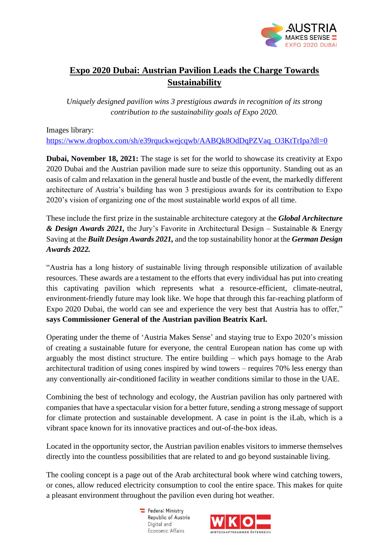

## **Expo 2020 Dubai: Austrian Pavilion Leads the Charge Towards Sustainability**

*Uniquely designed pavilion wins 3 prestigious awards in recognition of its strong contribution to the sustainability goals of Expo 2020.*

Images library:

[https://www.dropbox.com/sh/e39rquckwejcqwb/AABQk8OdDqPZVaq\\_O3KtTrIpa?dl=0](https://www.dropbox.com/sh/e39rquckwejcqwb/AABQk8OdDqPZVaq_O3KtTrIpa?dl=0)

**Dubai, November 18, 2021:** The stage is set for the world to showcase its creativity at Expo 2020 Dubai and the Austrian pavilion made sure to seize this opportunity. Standing out as an oasis of calm and relaxation in the general hustle and bustle of the event, the markedly different architecture of Austria's building has won 3 prestigious awards for its contribution to Expo 2020's vision of organizing one of the most sustainable world expos of all time.

These include the first prize in the sustainable architecture category at the *Global Architecture & Design Awards 2021,* the Jury's Favorite in Architectural Design – Sustainable & Energy Saving at the *Built Design Awards 2021,* and the top sustainability honor at the *German Design Awards 2022.*

"Austria has a long history of sustainable living through responsible utilization of available resources. These awards are a testament to the efforts that every individual has put into creating this captivating pavilion which represents what a resource-efficient, climate-neutral, environment-friendly future may look like. We hope that through this far-reaching platform of Expo 2020 Dubai, the world can see and experience the very best that Austria has to offer," **says Commissioner General of the Austrian pavilion Beatrix Karl.**

Operating under the theme of 'Austria Makes Sense' and staying true to Expo 2020's mission of creating a sustainable future for everyone, the central European nation has come up with arguably the most distinct structure. The entire building – which pays homage to the Arab architectural tradition of using cones inspired by wind towers – requires 70% less energy than any conventionally air-conditioned facility in weather conditions similar to those in the UAE.

Combining the best of technology and ecology, the Austrian pavilion has only partnered with companies that have a spectacular vision for a better future, sending a strong message of support for climate protection and sustainable development. A case in point is the iLab, which is a vibrant space known for its innovative practices and out-of-the-box ideas.

Located in the opportunity sector, the Austrian pavilion enables visitors to immerse themselves directly into the countless possibilities that are related to and go beyond sustainable living.

The cooling concept is a page out of the Arab architectural book where wind catching towers, or cones, allow reduced electricity consumption to cool the entire space. This makes for quite a pleasant environment throughout the pavilion even during hot weather.

> Federal Ministry Republic of Austria Digital and Economic Affairs